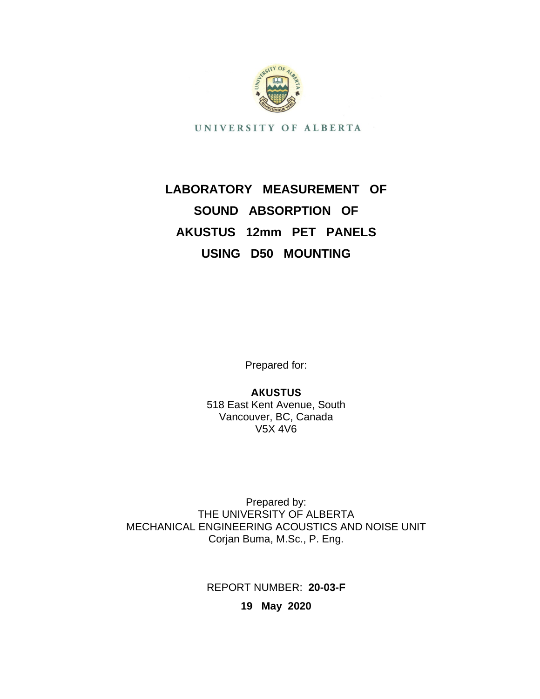

UNIVERSITY OF ALBERTA

# **LABORATORY MEASUREMENT OF SOUND ABSORPTION OF AKUSTUS 12mm PET PANELS USING D50 MOUNTING**

Prepared for:

**AKUSTUS** 518 East Kent Avenue, South Vancouver, BC, Canada V5X 4V6

Prepared by: THE UNIVERSITY OF ALBERTA MECHANICAL ENGINEERING ACOUSTICS AND NOISE UNIT Corjan Buma, M.Sc., P. Eng.

REPORT NUMBER: **20-03-F**

**19 May 2020**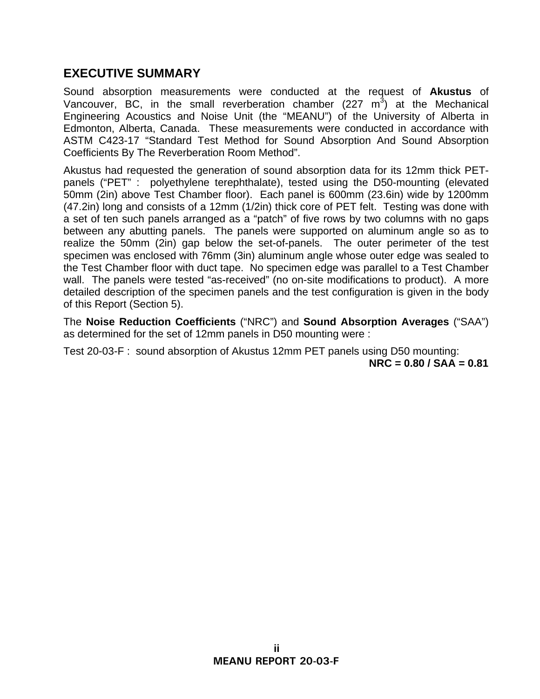### **EXECUTIVE SUMMARY**

Sound absorption measurements were conducted at the request of **Akustus** of Vancouver, BC, in the small reverberation chamber (227  $m<sup>3</sup>$ ) at the Mechanical Engineering Acoustics and Noise Unit (the "MEANU") of the University of Alberta in Edmonton, Alberta, Canada. These measurements were conducted in accordance with ASTM C423-17 "Standard Test Method for Sound Absorption And Sound Absorption Coefficients By The Reverberation Room Method".

Akustus had requested the generation of sound absorption data for its 12mm thick PETpanels ("PET" : polyethylene terephthalate), tested using the D50-mounting (elevated 50mm (2in) above Test Chamber floor). Each panel is 600mm (23.6in) wide by 1200mm (47.2in) long and consists of a 12mm (1/2in) thick core of PET felt. Testing was done with a set of ten such panels arranged as a "patch" of five rows by two columns with no gaps between any abutting panels. The panels were supported on aluminum angle so as to realize the 50mm (2in) gap below the set-of-panels. The outer perimeter of the test specimen was enclosed with 76mm (3in) aluminum angle whose outer edge was sealed to the Test Chamber floor with duct tape. No specimen edge was parallel to a Test Chamber wall. The panels were tested "as-received" (no on-site modifications to product). A more detailed description of the specimen panels and the test configuration is given in the body of this Report (Section 5).

The **Noise Reduction Coefficients** ("NRC") and **Sound Absorption Averages** ("SAA") as determined for the set of 12mm panels in D50 mounting were :

Test 20-03-F : sound absorption of Akustus 12mm PET panels using D50 mounting: **NRC = 0.80 / SAA = 0.81**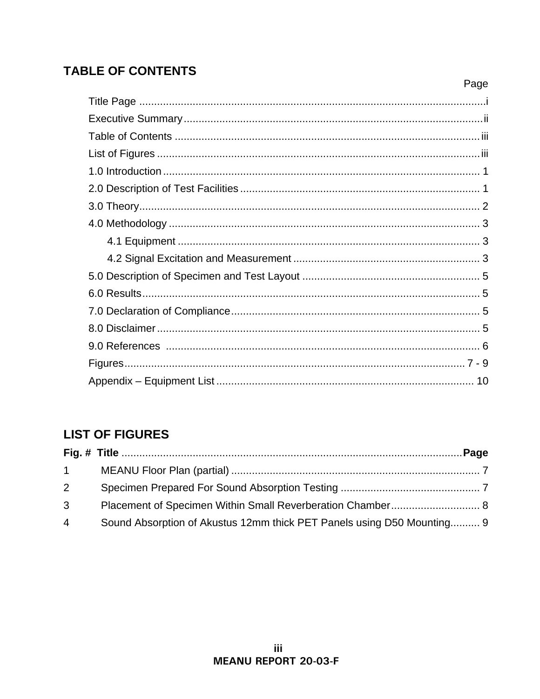# **TABLE OF CONTENTS**

| Page |
|------|
|      |
|      |
|      |
|      |
|      |
|      |
|      |
|      |
|      |
|      |
|      |
|      |
|      |
|      |
|      |
|      |
|      |

# **LIST OF FIGURES**

| $1 \quad \blacksquare$ |                                                                        |
|------------------------|------------------------------------------------------------------------|
| 2 <sup>7</sup>         |                                                                        |
| 3 <sup>1</sup>         |                                                                        |
| $\overline{4}$         | Sound Absorption of Akustus 12mm thick PET Panels using D50 Mounting 9 |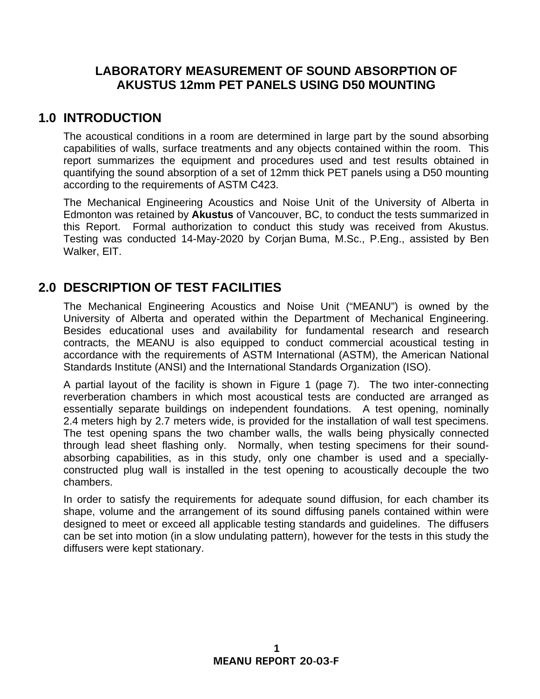### **LABORATORY MEASUREMENT OF SOUND ABSORPTION OF AKUSTUS 12mm PET PANELS USING D50 MOUNTING**

### **1.0 INTRODUCTION**

The acoustical conditions in a room are determined in large part by the sound absorbing capabilities of walls, surface treatments and any objects contained within the room. This report summarizes the equipment and procedures used and test results obtained in quantifying the sound absorption of a set of 12mm thick PET panels using a D50 mounting according to the requirements of ASTM C423.

The Mechanical Engineering Acoustics and Noise Unit of the University of Alberta in Edmonton was retained by **Akustus** of Vancouver, BC, to conduct the tests summarized in this Report. Formal authorization to conduct this study was received from Akustus. Testing was conducted 14-May-2020 by Corjan Buma, M.Sc., P.Eng., assisted by Ben Walker, EIT.

# **2.0 DESCRIPTION OF TEST FACILITIES**

The Mechanical Engineering Acoustics and Noise Unit ("MEANU") is owned by the University of Alberta and operated within the Department of Mechanical Engineering. Besides educational uses and availability for fundamental research and research contracts, the MEANU is also equipped to conduct commercial acoustical testing in accordance with the requirements of ASTM International (ASTM), the American National Standards Institute (ANSI) and the International Standards Organization (ISO).

A partial layout of the facility is shown in Figure 1 (page 7). The two inter-connecting reverberation chambers in which most acoustical tests are conducted are arranged as essentially separate buildings on independent foundations. A test opening, nominally 2.4 meters high by 2.7 meters wide, is provided for the installation of wall test specimens. The test opening spans the two chamber walls, the walls being physically connected through lead sheet flashing only. Normally, when testing specimens for their soundabsorbing capabilities, as in this study, only one chamber is used and a speciallyconstructed plug wall is installed in the test opening to acoustically decouple the two chambers.

In order to satisfy the requirements for adequate sound diffusion, for each chamber its shape, volume and the arrangement of its sound diffusing panels contained within were designed to meet or exceed all applicable testing standards and guidelines. The diffusers can be set into motion (in a slow undulating pattern), however for the tests in this study the diffusers were kept stationary.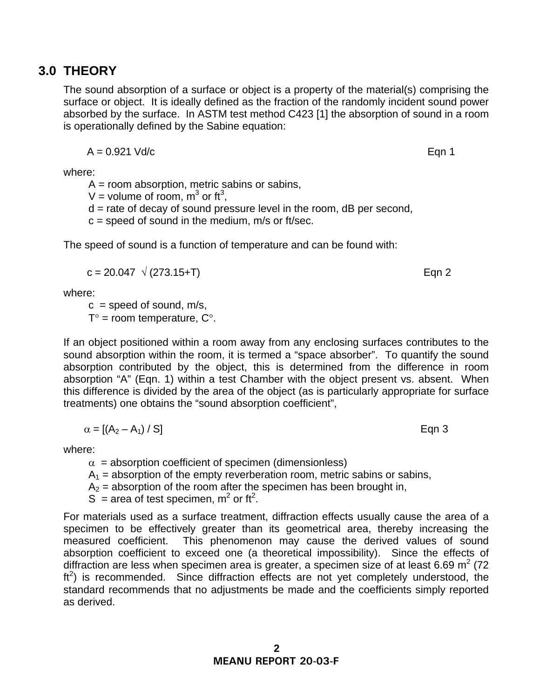# **3.0 THEORY**

The sound absorption of a surface or object is a property of the material(s) comprising the surface or object. It is ideally defined as the fraction of the randomly incident sound power absorbed by the surface. In ASTM test method C423 [1] the absorption of sound in a room is operationally defined by the Sabine equation:

$$
A = 0.921 \text{ Vd/c}
$$
 Eqn 1

where:

 $A =$  room absorption, metric sabins or sabins,

V = volume of room,  $m^3$  or ft<sup>3</sup>,

 $d =$  rate of decay of sound pressure level in the room,  $dB$  per second,

 $c =$  speed of sound in the medium,  $m/s$  or ft/sec.

The speed of sound is a function of temperature and can be found with:

$$
c = 20.047 \sqrt{(273.15 + T)}
$$
Eqn 2

where:

 $c =$  speed of sound, m/s,

 $T^{\circ}$  = room temperature,  $C^{\circ}$ .

If an object positioned within a room away from any enclosing surfaces contributes to the sound absorption within the room, it is termed a "space absorber". To quantify the sound absorption contributed by the object, this is determined from the difference in room absorption "A" (Eqn. 1) within a test Chamber with the object present vs. absent. When this difference is divided by the area of the object (as is particularly appropriate for surface treatments) one obtains the "sound absorption coefficient",

$$
\alpha = \left[ \left( A_2 - A_1 \right) / S \right] \tag{Eqn 3}
$$

where:

 $\alpha$  = absorption coefficient of specimen (dimensionless)

 $A_1$  = absorption of the empty reverberation room, metric sabins or sabins,

 $A<sub>2</sub>$  = absorption of the room after the specimen has been brought in,

S = area of test specimen,  $m^2$  or ft<sup>2</sup>.

For materials used as a surface treatment, diffraction effects usually cause the area of a specimen to be effectively greater than its geometrical area, thereby increasing the measured coefficient. This phenomenon may cause the derived values of sound absorption coefficient to exceed one (a theoretical impossibility). Since the effects of diffraction are less when specimen area is greater, a specimen size of at least 6.69 m<sup>2</sup> (72  $ft<sup>2</sup>$ ) is recommended. Since diffraction effects are not yet completely understood, the standard recommends that no adjustments be made and the coefficients simply reported as derived.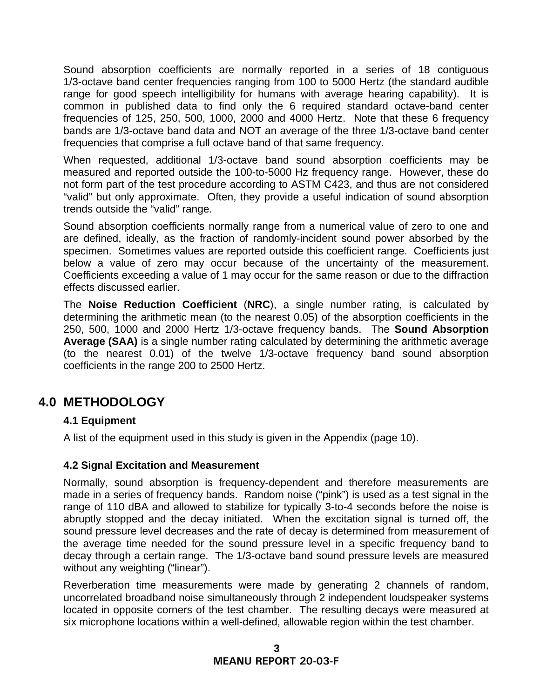Sound absorption coefficients are normally reported in a series of 18 contiguous 1/3-octave band center frequencies ranging from 100 to 5000 Hertz (the standard audible range for good speech intelligibility for humans with average hearing capability). It is common in published data to find only the 6 required standard octave-band center frequencies of 125, 250, 500, 1000, 2000 and 4000 Hertz. Note that these 6 frequency bands are 1/3-octave band data and NOT an average of the three 1/3-octave band center frequencies that comprise a full octave band of that same frequency.

When requested, additional 1/3-octave band sound absorption coefficients may be measured and reported outside the 100-to-5000 Hz frequency range. However, these do not form part of the test procedure according to ASTM C423, and thus are not considered "valid" but only approximate. Often, they provide a useful indication of sound absorption trends outside the "valid" range.

Sound absorption coefficients normally range from a numerical value of zero to one and are defined, ideally, as the fraction of randomly-incident sound power absorbed by the specimen. Sometimes values are reported outside this coefficient range. Coefficients just below a value of zero may occur because of the uncertainty of the measurement. Coefficients exceeding a value of 1 may occur for the same reason or due to the diffraction effects discussed earlier.

The **Noise Reduction Coefficient** (**NRC**), a single number rating, is calculated by determining the arithmetic mean (to the nearest 0.05) of the absorption coefficients in the 250, 500, 1000 and 2000 Hertz 1/3-octave frequency bands. The **Sound Absorption Average (SAA)** is a single number rating calculated by determining the arithmetic average (to the nearest 0.01) of the twelve 1/3-octave frequency band sound absorption coefficients in the range 200 to 2500 Hertz.

### **4.0 METHODOLOGY**

#### **4.1 Equipment**

A list of the equipment used in this study is given in the Appendix (page 10).

#### **4.2 Signal Excitation and Measurement**

Normally, sound absorption is frequency-dependent and therefore measurements are made in a series of frequency bands. Random noise ("pink") is used as a test signal in the range of 110 dBA and allowed to stabilize for typically 3-to-4 seconds before the noise is abruptly stopped and the decay initiated. When the excitation signal is turned off, the sound pressure level decreases and the rate of decay is determined from measurement of the average time needed for the sound pressure level in a specific frequency band to decay through a certain range. The 1/3-octave band sound pressure levels are measured without any weighting ("linear").

Reverberation time measurements were made by generating 2 channels of random, uncorrelated broadband noise simultaneously through 2 independent loudspeaker systems located in opposite corners of the test chamber. The resulting decays were measured at six microphone locations within a well-defined, allowable region within the test chamber.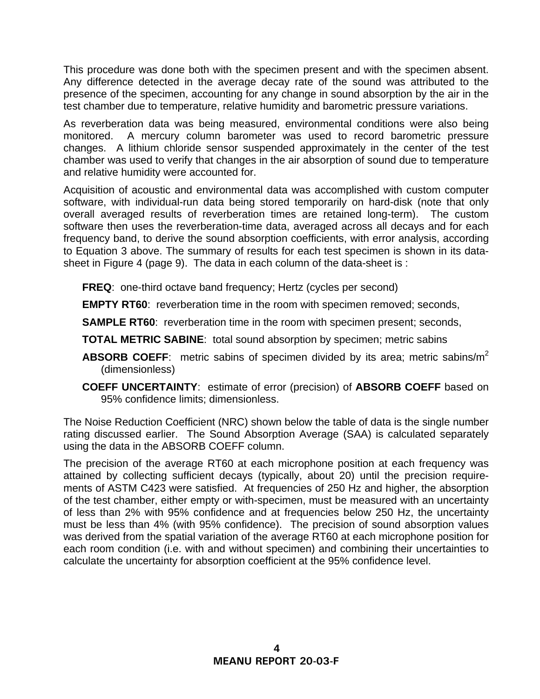This procedure was done both with the specimen present and with the specimen absent. Any difference detected in the average decay rate of the sound was attributed to the presence of the specimen, accounting for any change in sound absorption by the air in the test chamber due to temperature, relative humidity and barometric pressure variations.

As reverberation data was being measured, environmental conditions were also being monitored. A mercury column barometer was used to record barometric pressure changes. A lithium chloride sensor suspended approximately in the center of the test chamber was used to verify that changes in the air absorption of sound due to temperature and relative humidity were accounted for.

Acquisition of acoustic and environmental data was accomplished with custom computer software, with individual-run data being stored temporarily on hard-disk (note that only overall averaged results of reverberation times are retained long-term). The custom software then uses the reverberation-time data, averaged across all decays and for each frequency band, to derive the sound absorption coefficients, with error analysis, according to Equation 3 above. The summary of results for each test specimen is shown in its datasheet in Figure 4 (page 9). The data in each column of the data-sheet is :

**FREQ**: one-third octave band frequency; Hertz (cycles per second)

**EMPTY RT60**: reverberation time in the room with specimen removed; seconds,

**SAMPLE RT60:** reverberation time in the room with specimen present; seconds,

**TOTAL METRIC SABINE**: total sound absorption by specimen; metric sabins

- **ABSORB COEFF:** metric sabins of specimen divided by its area; metric sabins/m<sup>2</sup> (dimensionless)
- **COEFF UNCERTAINTY**: estimate of error (precision) of **ABSORB COEFF** based on 95% confidence limits; dimensionless.

The Noise Reduction Coefficient (NRC) shown below the table of data is the single number rating discussed earlier. The Sound Absorption Average (SAA) is calculated separately using the data in the ABSORB COEFF column.

The precision of the average RT60 at each microphone position at each frequency was attained by collecting sufficient decays (typically, about 20) until the precision requirements of ASTM C423 were satisfied. At frequencies of 250 Hz and higher, the absorption of the test chamber, either empty or with-specimen, must be measured with an uncertainty of less than 2% with 95% confidence and at frequencies below 250 Hz, the uncertainty must be less than 4% (with 95% confidence). The precision of sound absorption values was derived from the spatial variation of the average RT60 at each microphone position for each room condition (i.e. with and without specimen) and combining their uncertainties to calculate the uncertainty for absorption coefficient at the 95% confidence level.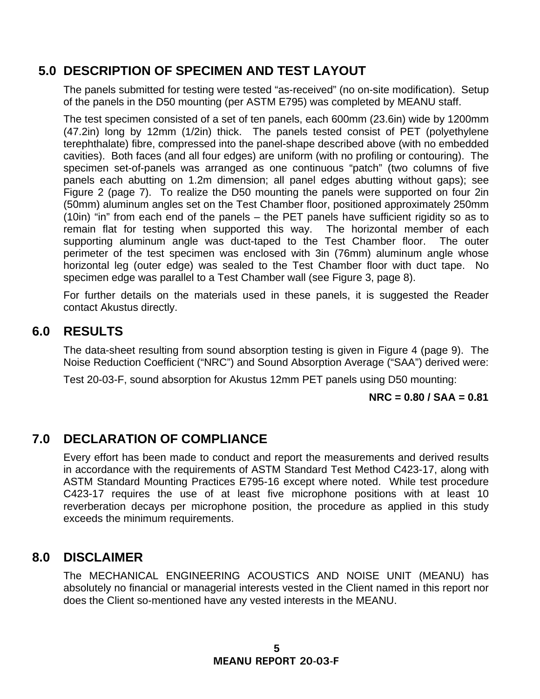### **5.0 DESCRIPTION OF SPECIMEN AND TEST LAYOUT**

The panels submitted for testing were tested "as-received" (no on-site modification). Setup of the panels in the D50 mounting (per ASTM E795) was completed by MEANU staff.

The test specimen consisted of a set of ten panels, each 600mm (23.6in) wide by 1200mm (47.2in) long by 12mm (1/2in) thick. The panels tested consist of PET (polyethylene terephthalate) fibre, compressed into the panel-shape described above (with no embedded cavities). Both faces (and all four edges) are uniform (with no profiling or contouring). The specimen set-of-panels was arranged as one continuous "patch" (two columns of five panels each abutting on 1.2m dimension; all panel edges abutting without gaps); see Figure 2 (page 7). To realize the D50 mounting the panels were supported on four 2in (50mm) aluminum angles set on the Test Chamber floor, positioned approximately 250mm (10in) "in" from each end of the panels – the PET panels have sufficient rigidity so as to remain flat for testing when supported this way. The horizontal member of each supporting aluminum angle was duct-taped to the Test Chamber floor. The outer perimeter of the test specimen was enclosed with 3in (76mm) aluminum angle whose horizontal leg (outer edge) was sealed to the Test Chamber floor with duct tape. No specimen edge was parallel to a Test Chamber wall (see Figure 3, page 8).

For further details on the materials used in these panels, it is suggested the Reader contact Akustus directly.

### **6.0 RESULTS**

The data-sheet resulting from sound absorption testing is given in Figure 4 (page 9). The Noise Reduction Coefficient ("NRC") and Sound Absorption Average ("SAA") derived were:

Test 20-03-F, sound absorption for Akustus 12mm PET panels using D50 mounting:

#### **NRC = 0.80 / SAA = 0.81**

### **7.0 DECLARATION OF COMPLIANCE**

Every effort has been made to conduct and report the measurements and derived results in accordance with the requirements of ASTM Standard Test Method C423-17, along with ASTM Standard Mounting Practices E795-16 except where noted. While test procedure C423-17 requires the use of at least five microphone positions with at least 10 reverberation decays per microphone position, the procedure as applied in this study exceeds the minimum requirements.

### **8.0 DISCLAIMER**

The MECHANICAL ENGINEERING ACOUSTICS AND NOISE UNIT (MEANU) has absolutely no financial or managerial interests vested in the Client named in this report nor does the Client so-mentioned have any vested interests in the MEANU.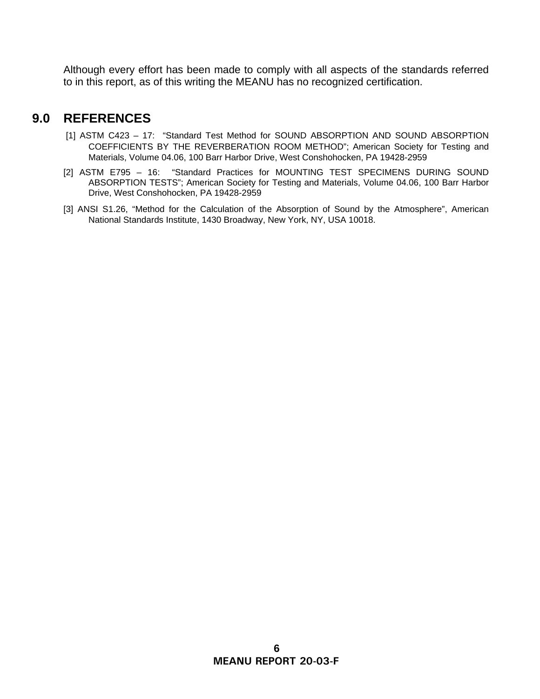Although every effort has been made to comply with all aspects of the standards referred to in this report, as of this writing the MEANU has no recognized certification.

### **9.0 REFERENCES**

- [1] ASTM C423 17: "Standard Test Method for SOUND ABSORPTION AND SOUND ABSORPTION COEFFICIENTS BY THE REVERBERATION ROOM METHOD"; American Society for Testing and Materials, Volume 04.06, 100 Barr Harbor Drive, West Conshohocken, PA 19428-2959
- [2] ASTM E795 16: "Standard Practices for MOUNTING TEST SPECIMENS DURING SOUND ABSORPTION TESTS"; American Society for Testing and Materials, Volume 04.06, 100 Barr Harbor Drive, West Conshohocken, PA 19428-2959
- [3] ANSI S1.26, "Method for the Calculation of the Absorption of Sound by the Atmosphere", American National Standards Institute, 1430 Broadway, New York, NY, USA 10018.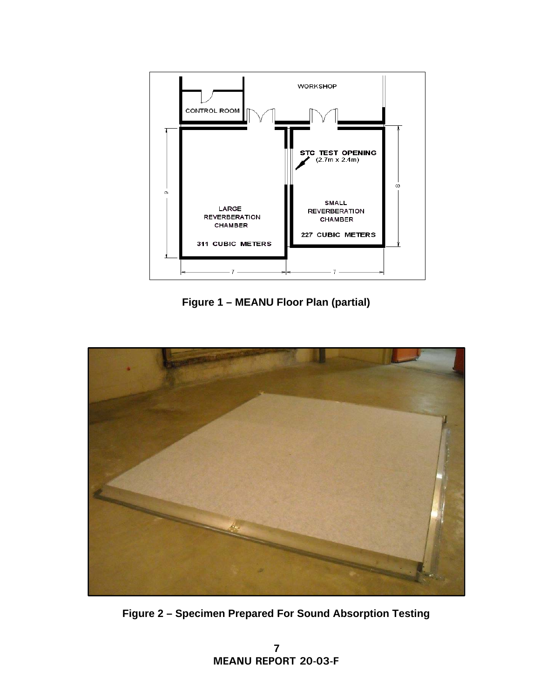

**Figure 1 – MEANU Floor Plan (partial)** 



**Figure 2 – Specimen Prepared For Sound Absorption Testing**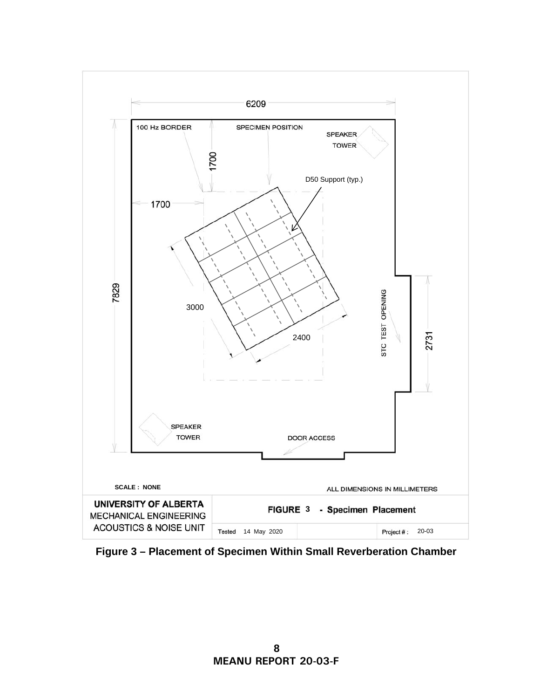

**Figure 3 – Placement of Specimen Within Small Reverberation Chamber**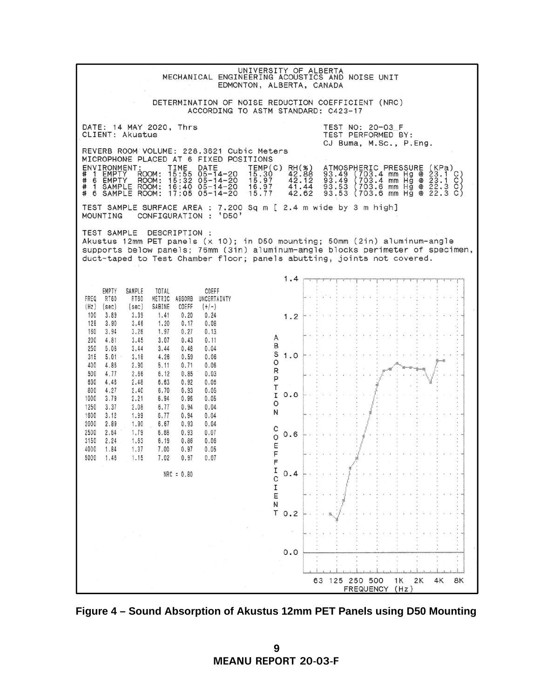